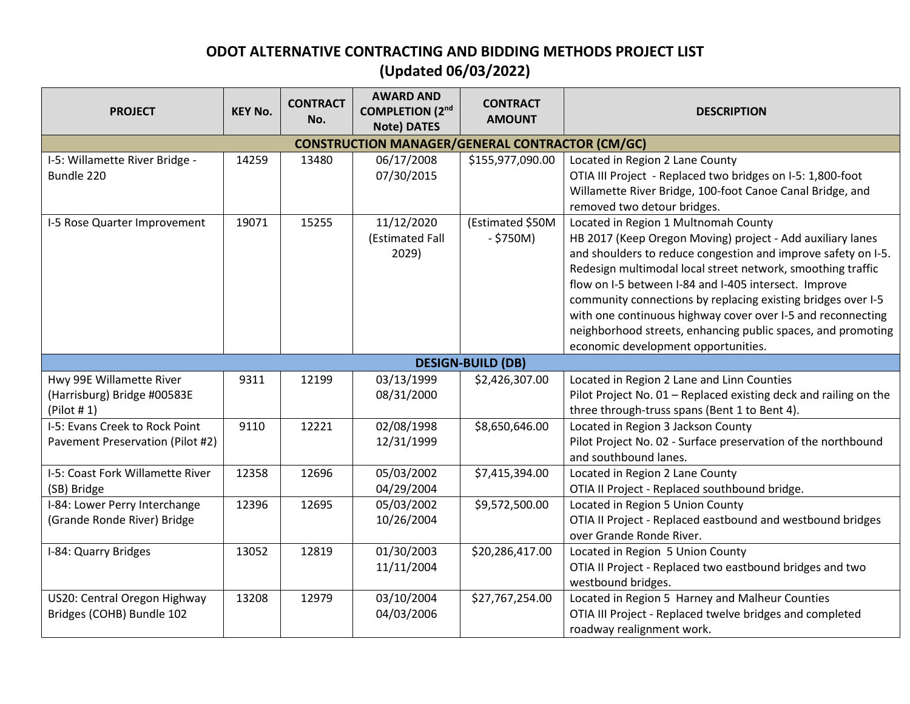## **ODOT ALTERNATIVE CONTRACTING AND BIDDING METHODS PROJECT LIST (Updated 06/03/2022)**

| <b>PROJECT</b>                                                        | <b>KEY No.</b> | <b>CONTRACT</b><br>No. | <b>AWARD AND</b><br><b>COMPLETION (2nd)</b><br><b>Note) DATES</b> | <b>CONTRACT</b><br><b>AMOUNT</b> | <b>DESCRIPTION</b>                                                                                                                                                                                                                                                                                                                                                                                                                                                                                                                |  |  |  |
|-----------------------------------------------------------------------|----------------|------------------------|-------------------------------------------------------------------|----------------------------------|-----------------------------------------------------------------------------------------------------------------------------------------------------------------------------------------------------------------------------------------------------------------------------------------------------------------------------------------------------------------------------------------------------------------------------------------------------------------------------------------------------------------------------------|--|--|--|
| <b>CONSTRUCTION MANAGER/GENERAL CONTRACTOR (CM/GC)</b>                |                |                        |                                                                   |                                  |                                                                                                                                                                                                                                                                                                                                                                                                                                                                                                                                   |  |  |  |
| I-5: Willamette River Bridge -<br>Bundle 220                          | 14259          | 13480                  | 06/17/2008<br>07/30/2015                                          | \$155,977,090.00                 | Located in Region 2 Lane County<br>OTIA III Project - Replaced two bridges on I-5: 1,800-foot<br>Willamette River Bridge, 100-foot Canoe Canal Bridge, and<br>removed two detour bridges.                                                                                                                                                                                                                                                                                                                                         |  |  |  |
| I-5 Rose Quarter Improvement                                          | 19071          | 15255                  | 11/12/2020<br>(Estimated Fall<br>2029)                            | (Estimated \$50M<br>$-$ \$750M)  | Located in Region 1 Multnomah County<br>HB 2017 (Keep Oregon Moving) project - Add auxiliary lanes<br>and shoulders to reduce congestion and improve safety on I-5.<br>Redesign multimodal local street network, smoothing traffic<br>flow on I-5 between I-84 and I-405 intersect. Improve<br>community connections by replacing existing bridges over I-5<br>with one continuous highway cover over I-5 and reconnecting<br>neighborhood streets, enhancing public spaces, and promoting<br>economic development opportunities. |  |  |  |
| <b>DESIGN-BUILD (DB)</b>                                              |                |                        |                                                                   |                                  |                                                                                                                                                                                                                                                                                                                                                                                                                                                                                                                                   |  |  |  |
| Hwy 99E Willamette River<br>(Harrisburg) Bridge #00583E<br>(Plot # 1) | 9311           | 12199                  | 03/13/1999<br>08/31/2000                                          | \$2,426,307.00                   | Located in Region 2 Lane and Linn Counties<br>Pilot Project No. 01 - Replaced existing deck and railing on the<br>three through-truss spans (Bent 1 to Bent 4).                                                                                                                                                                                                                                                                                                                                                                   |  |  |  |
| I-5: Evans Creek to Rock Point<br>Pavement Preservation (Pilot #2)    | 9110           | 12221                  | 02/08/1998<br>12/31/1999                                          | \$8,650,646.00                   | Located in Region 3 Jackson County<br>Pilot Project No. 02 - Surface preservation of the northbound<br>and southbound lanes.                                                                                                                                                                                                                                                                                                                                                                                                      |  |  |  |
| I-5: Coast Fork Willamette River<br>(SB) Bridge                       | 12358          | 12696                  | 05/03/2002<br>04/29/2004                                          | \$7,415,394.00                   | Located in Region 2 Lane County<br>OTIA II Project - Replaced southbound bridge.                                                                                                                                                                                                                                                                                                                                                                                                                                                  |  |  |  |
| I-84: Lower Perry Interchange<br>(Grande Ronde River) Bridge          | 12396          | 12695                  | 05/03/2002<br>10/26/2004                                          | \$9,572,500.00                   | Located in Region 5 Union County<br>OTIA II Project - Replaced eastbound and westbound bridges<br>over Grande Ronde River.                                                                                                                                                                                                                                                                                                                                                                                                        |  |  |  |
| I-84: Quarry Bridges                                                  | 13052          | 12819                  | 01/30/2003<br>11/11/2004                                          | \$20,286,417.00                  | Located in Region 5 Union County<br>OTIA II Project - Replaced two eastbound bridges and two<br>westbound bridges.                                                                                                                                                                                                                                                                                                                                                                                                                |  |  |  |
| US20: Central Oregon Highway<br>Bridges (COHB) Bundle 102             | 13208          | 12979                  | 03/10/2004<br>04/03/2006                                          | \$27,767,254.00                  | Located in Region 5 Harney and Malheur Counties<br>OTIA III Project - Replaced twelve bridges and completed<br>roadway realignment work.                                                                                                                                                                                                                                                                                                                                                                                          |  |  |  |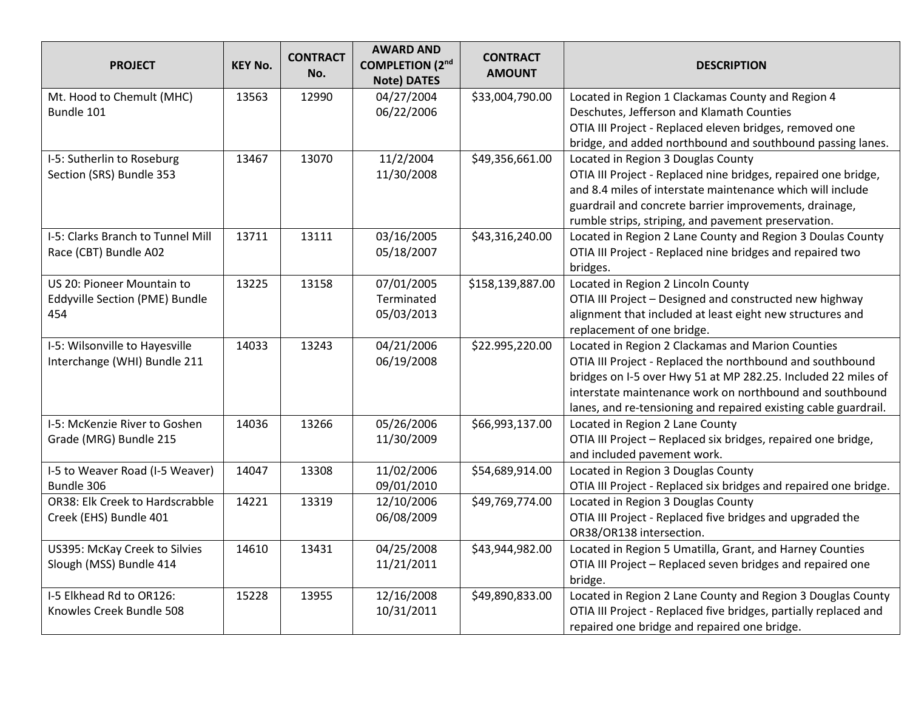| <b>PROJECT</b>                    | <b>KEY No.</b> | <b>CONTRACT</b><br>No. | <b>AWARD AND</b><br><b>COMPLETION (2nd)</b><br><b>Note) DATES</b> | <b>CONTRACT</b><br><b>AMOUNT</b> | <b>DESCRIPTION</b>                                               |
|-----------------------------------|----------------|------------------------|-------------------------------------------------------------------|----------------------------------|------------------------------------------------------------------|
| Mt. Hood to Chemult (MHC)         | 13563          | 12990                  | 04/27/2004                                                        | \$33,004,790.00                  | Located in Region 1 Clackamas County and Region 4                |
| Bundle 101                        |                |                        | 06/22/2006                                                        |                                  | Deschutes, Jefferson and Klamath Counties                        |
|                                   |                |                        |                                                                   |                                  | OTIA III Project - Replaced eleven bridges, removed one          |
|                                   |                |                        |                                                                   |                                  | bridge, and added northbound and southbound passing lanes.       |
| I-5: Sutherlin to Roseburg        | 13467          | 13070                  | 11/2/2004                                                         | \$49,356,661.00                  | Located in Region 3 Douglas County                               |
| Section (SRS) Bundle 353          |                |                        | 11/30/2008                                                        |                                  | OTIA III Project - Replaced nine bridges, repaired one bridge,   |
|                                   |                |                        |                                                                   |                                  | and 8.4 miles of interstate maintenance which will include       |
|                                   |                |                        |                                                                   |                                  | guardrail and concrete barrier improvements, drainage,           |
|                                   |                |                        |                                                                   |                                  | rumble strips, striping, and pavement preservation.              |
| I-5: Clarks Branch to Tunnel Mill | 13711          | 13111                  | 03/16/2005                                                        | \$43,316,240.00                  | Located in Region 2 Lane County and Region 3 Doulas County       |
| Race (CBT) Bundle A02             |                |                        | 05/18/2007                                                        |                                  | OTIA III Project - Replaced nine bridges and repaired two        |
|                                   |                |                        |                                                                   |                                  | bridges.                                                         |
| US 20: Pioneer Mountain to        | 13225          | 13158                  | 07/01/2005                                                        | \$158,139,887.00                 | Located in Region 2 Lincoln County                               |
| Eddyville Section (PME) Bundle    |                |                        | Terminated                                                        |                                  | OTIA III Project - Designed and constructed new highway          |
| 454                               |                |                        | 05/03/2013                                                        |                                  | alignment that included at least eight new structures and        |
|                                   |                |                        |                                                                   |                                  | replacement of one bridge.                                       |
| I-5: Wilsonville to Hayesville    | 14033          | 13243                  | 04/21/2006                                                        | \$22.995,220.00                  | Located in Region 2 Clackamas and Marion Counties                |
| Interchange (WHI) Bundle 211      |                |                        | 06/19/2008                                                        |                                  | OTIA III Project - Replaced the northbound and southbound        |
|                                   |                |                        |                                                                   |                                  | bridges on I-5 over Hwy 51 at MP 282.25. Included 22 miles of    |
|                                   |                |                        |                                                                   |                                  | interstate maintenance work on northbound and southbound         |
|                                   |                |                        |                                                                   |                                  | lanes, and re-tensioning and repaired existing cable guardrail.  |
| I-5: McKenzie River to Goshen     | 14036          | 13266                  | 05/26/2006                                                        | \$66,993,137.00                  | Located in Region 2 Lane County                                  |
| Grade (MRG) Bundle 215            |                |                        | 11/30/2009                                                        |                                  | OTIA III Project - Replaced six bridges, repaired one bridge,    |
|                                   |                |                        |                                                                   |                                  | and included pavement work.                                      |
| I-5 to Weaver Road (I-5 Weaver)   | 14047          | 13308                  | 11/02/2006                                                        | \$54,689,914.00                  | Located in Region 3 Douglas County                               |
| Bundle 306                        |                |                        | 09/01/2010                                                        |                                  | OTIA III Project - Replaced six bridges and repaired one bridge. |
| OR38: Elk Creek to Hardscrabble   | 14221          | 13319                  | 12/10/2006                                                        | \$49,769,774.00                  | Located in Region 3 Douglas County                               |
| Creek (EHS) Bundle 401            |                |                        | 06/08/2009                                                        |                                  | OTIA III Project - Replaced five bridges and upgraded the        |
|                                   |                |                        |                                                                   |                                  | OR38/OR138 intersection.                                         |
| US395: McKay Creek to Silvies     | 14610          | 13431                  | 04/25/2008                                                        | \$43,944,982.00                  | Located in Region 5 Umatilla, Grant, and Harney Counties         |
| Slough (MSS) Bundle 414           |                |                        | 11/21/2011                                                        |                                  | OTIA III Project - Replaced seven bridges and repaired one       |
|                                   |                |                        |                                                                   |                                  | bridge.                                                          |
| I-5 Elkhead Rd to OR126:          | 15228          | 13955                  | 12/16/2008                                                        | \$49,890,833.00                  | Located in Region 2 Lane County and Region 3 Douglas County      |
| Knowles Creek Bundle 508          |                |                        | 10/31/2011                                                        |                                  | OTIA III Project - Replaced five bridges, partially replaced and |
|                                   |                |                        |                                                                   |                                  | repaired one bridge and repaired one bridge.                     |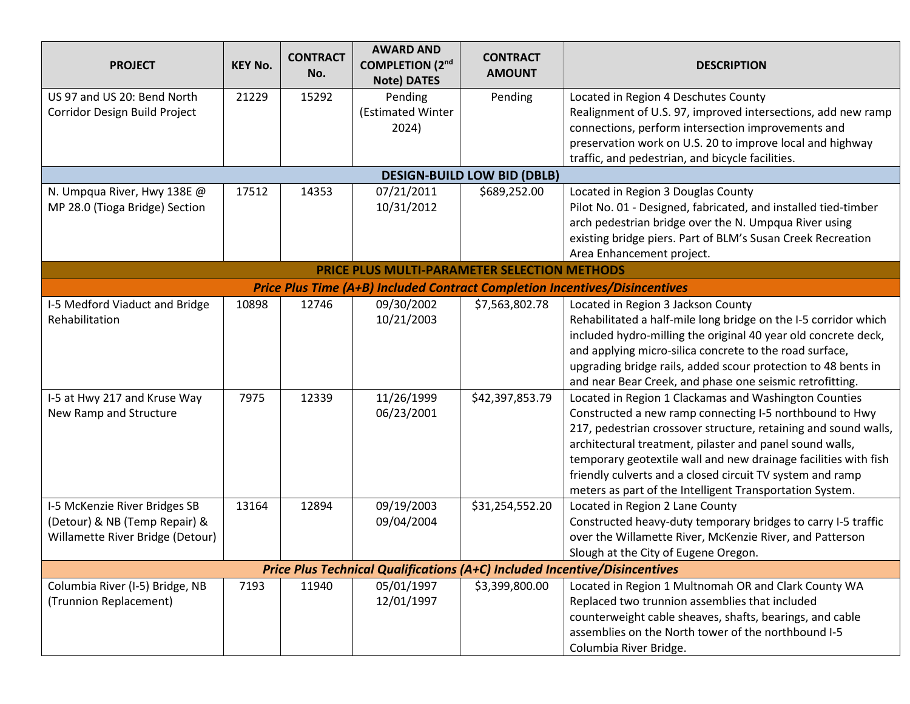| <b>PROJECT</b>                                                             | <b>KEY No.</b> | <b>CONTRACT</b><br>No. | <b>AWARD AND</b><br><b>COMPLETION (2nd)</b><br><b>Note) DATES</b> | <b>CONTRACT</b><br><b>AMOUNT</b>   | <b>DESCRIPTION</b>                                                                 |  |  |
|----------------------------------------------------------------------------|----------------|------------------------|-------------------------------------------------------------------|------------------------------------|------------------------------------------------------------------------------------|--|--|
| US 97 and US 20: Bend North                                                | 21229          | 15292                  | Pending                                                           | Pending                            | Located in Region 4 Deschutes County                                               |  |  |
| Corridor Design Build Project                                              |                |                        | (Estimated Winter                                                 |                                    | Realignment of U.S. 97, improved intersections, add new ramp                       |  |  |
|                                                                            |                |                        | 2024)                                                             |                                    | connections, perform intersection improvements and                                 |  |  |
|                                                                            |                |                        |                                                                   |                                    | preservation work on U.S. 20 to improve local and highway                          |  |  |
|                                                                            |                |                        |                                                                   |                                    | traffic, and pedestrian, and bicycle facilities.                                   |  |  |
|                                                                            |                |                        |                                                                   | <b>DESIGN-BUILD LOW BID (DBLB)</b> |                                                                                    |  |  |
| N. Umpqua River, Hwy 138E @                                                | 17512          | 14353                  | 07/21/2011                                                        | \$689,252.00                       | Located in Region 3 Douglas County                                                 |  |  |
| MP 28.0 (Tioga Bridge) Section                                             |                |                        | 10/31/2012                                                        |                                    | Pilot No. 01 - Designed, fabricated, and installed tied-timber                     |  |  |
|                                                                            |                |                        |                                                                   |                                    | arch pedestrian bridge over the N. Umpqua River using                              |  |  |
|                                                                            |                |                        |                                                                   |                                    | existing bridge piers. Part of BLM's Susan Creek Recreation                        |  |  |
|                                                                            |                |                        |                                                                   |                                    | Area Enhancement project.                                                          |  |  |
| <b>PRICE PLUS MULTI-PARAMETER SELECTION METHODS</b>                        |                |                        |                                                                   |                                    |                                                                                    |  |  |
|                                                                            |                |                        |                                                                   |                                    | <b>Price Plus Time (A+B) Included Contract Completion Incentives/Disincentives</b> |  |  |
| I-5 Medford Viaduct and Bridge                                             | 10898          | 12746                  | 09/30/2002                                                        | \$7,563,802.78                     | Located in Region 3 Jackson County                                                 |  |  |
| Rehabilitation                                                             |                |                        | 10/21/2003                                                        |                                    | Rehabilitated a half-mile long bridge on the I-5 corridor which                    |  |  |
|                                                                            |                |                        |                                                                   |                                    | included hydro-milling the original 40 year old concrete deck,                     |  |  |
|                                                                            |                |                        |                                                                   |                                    | and applying micro-silica concrete to the road surface,                            |  |  |
|                                                                            |                |                        |                                                                   |                                    | upgrading bridge rails, added scour protection to 48 bents in                      |  |  |
|                                                                            |                |                        |                                                                   |                                    | and near Bear Creek, and phase one seismic retrofitting.                           |  |  |
| I-5 at Hwy 217 and Kruse Way                                               | 7975           | 12339                  | 11/26/1999                                                        | \$42,397,853.79                    | Located in Region 1 Clackamas and Washington Counties                              |  |  |
| New Ramp and Structure                                                     |                |                        | 06/23/2001                                                        |                                    | Constructed a new ramp connecting I-5 northbound to Hwy                            |  |  |
|                                                                            |                |                        |                                                                   |                                    | 217, pedestrian crossover structure, retaining and sound walls,                    |  |  |
|                                                                            |                |                        |                                                                   |                                    | architectural treatment, pilaster and panel sound walls,                           |  |  |
|                                                                            |                |                        |                                                                   |                                    | temporary geotextile wall and new drainage facilities with fish                    |  |  |
|                                                                            |                |                        |                                                                   |                                    | friendly culverts and a closed circuit TV system and ramp                          |  |  |
|                                                                            |                |                        |                                                                   |                                    | meters as part of the Intelligent Transportation System.                           |  |  |
| I-5 McKenzie River Bridges SB                                              | 13164          | 12894                  | 09/19/2003                                                        | \$31,254,552.20                    | Located in Region 2 Lane County                                                    |  |  |
| (Detour) & NB (Temp Repair) &                                              |                |                        | 09/04/2004                                                        |                                    | Constructed heavy-duty temporary bridges to carry I-5 traffic                      |  |  |
| Willamette River Bridge (Detour)                                           |                |                        |                                                                   |                                    | over the Willamette River, McKenzie River, and Patterson                           |  |  |
|                                                                            |                |                        |                                                                   |                                    | Slough at the City of Eugene Oregon.                                               |  |  |
| Price Plus Technical Qualifications (A+C) Included Incentive/Disincentives |                |                        |                                                                   |                                    |                                                                                    |  |  |
| Columbia River (I-5) Bridge, NB                                            | 7193           | 11940                  | 05/01/1997                                                        | \$3,399,800.00                     | Located in Region 1 Multnomah OR and Clark County WA                               |  |  |
| (Trunnion Replacement)                                                     |                |                        | 12/01/1997                                                        |                                    | Replaced two trunnion assemblies that included                                     |  |  |
|                                                                            |                |                        |                                                                   |                                    | counterweight cable sheaves, shafts, bearings, and cable                           |  |  |
|                                                                            |                |                        |                                                                   |                                    | assemblies on the North tower of the northbound I-5                                |  |  |
|                                                                            |                |                        |                                                                   |                                    | Columbia River Bridge.                                                             |  |  |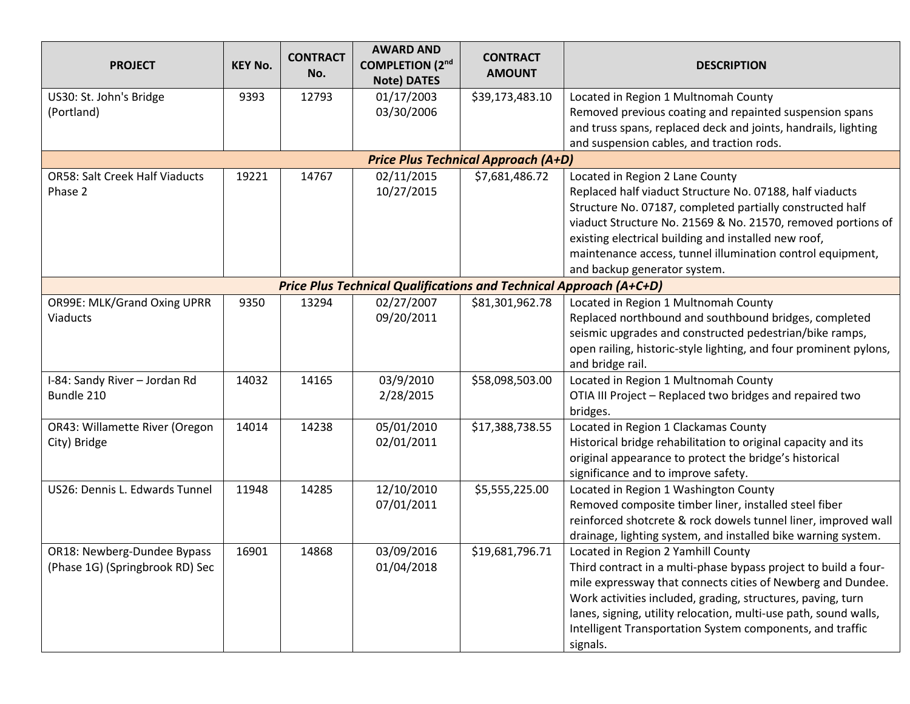| <b>PROJECT</b>                             | <b>KEY No.</b> | <b>CONTRACT</b><br>No. | <b>AWARD AND</b><br><b>COMPLETION (2nd)</b><br><b>Note) DATES</b>         | <b>CONTRACT</b><br><b>AMOUNT</b> | <b>DESCRIPTION</b>                                                |  |  |
|--------------------------------------------|----------------|------------------------|---------------------------------------------------------------------------|----------------------------------|-------------------------------------------------------------------|--|--|
| US30: St. John's Bridge                    | 9393           | 12793                  | 01/17/2003                                                                | \$39,173,483.10                  | Located in Region 1 Multnomah County                              |  |  |
| (Portland)                                 |                |                        | 03/30/2006                                                                |                                  | Removed previous coating and repainted suspension spans           |  |  |
|                                            |                |                        |                                                                           |                                  | and truss spans, replaced deck and joints, handrails, lighting    |  |  |
|                                            |                |                        |                                                                           |                                  | and suspension cables, and traction rods.                         |  |  |
| <b>Price Plus Technical Approach (A+D)</b> |                |                        |                                                                           |                                  |                                                                   |  |  |
| <b>OR58: Salt Creek Half Viaducts</b>      | 19221          | 14767                  | 02/11/2015                                                                | \$7,681,486.72                   | Located in Region 2 Lane County                                   |  |  |
| Phase 2                                    |                |                        | 10/27/2015                                                                |                                  | Replaced half viaduct Structure No. 07188, half viaducts          |  |  |
|                                            |                |                        |                                                                           |                                  | Structure No. 07187, completed partially constructed half         |  |  |
|                                            |                |                        |                                                                           |                                  | viaduct Structure No. 21569 & No. 21570, removed portions of      |  |  |
|                                            |                |                        |                                                                           |                                  | existing electrical building and installed new roof,              |  |  |
|                                            |                |                        |                                                                           |                                  | maintenance access, tunnel illumination control equipment,        |  |  |
|                                            |                |                        |                                                                           |                                  | and backup generator system.                                      |  |  |
|                                            |                |                        | <b>Price Plus Technical Qualifications and Technical Approach (A+C+D)</b> |                                  |                                                                   |  |  |
| OR99E: MLK/Grand Oxing UPRR                | 9350           | 13294                  | 02/27/2007                                                                | \$81,301,962.78                  | Located in Region 1 Multnomah County                              |  |  |
| <b>Viaducts</b>                            |                |                        | 09/20/2011                                                                |                                  | Replaced northbound and southbound bridges, completed             |  |  |
|                                            |                |                        |                                                                           |                                  | seismic upgrades and constructed pedestrian/bike ramps,           |  |  |
|                                            |                |                        |                                                                           |                                  | open railing, historic-style lighting, and four prominent pylons, |  |  |
|                                            |                |                        |                                                                           |                                  | and bridge rail.                                                  |  |  |
| I-84: Sandy River - Jordan Rd              | 14032          | 14165                  | 03/9/2010                                                                 | \$58,098,503.00                  | Located in Region 1 Multnomah County                              |  |  |
| Bundle 210                                 |                |                        | 2/28/2015                                                                 |                                  | OTIA III Project - Replaced two bridges and repaired two          |  |  |
|                                            |                |                        |                                                                           |                                  | bridges.                                                          |  |  |
| OR43: Willamette River (Oregon             | 14014          | 14238                  | 05/01/2010                                                                | \$17,388,738.55                  | Located in Region 1 Clackamas County                              |  |  |
| City) Bridge                               |                |                        | 02/01/2011                                                                |                                  | Historical bridge rehabilitation to original capacity and its     |  |  |
|                                            |                |                        |                                                                           |                                  | original appearance to protect the bridge's historical            |  |  |
|                                            |                |                        |                                                                           |                                  | significance and to improve safety.                               |  |  |
| US26: Dennis L. Edwards Tunnel             | 11948          | 14285                  | 12/10/2010                                                                | \$5,555,225.00                   | Located in Region 1 Washington County                             |  |  |
|                                            |                |                        | 07/01/2011                                                                |                                  | Removed composite timber liner, installed steel fiber             |  |  |
|                                            |                |                        |                                                                           |                                  | reinforced shotcrete & rock dowels tunnel liner, improved wall    |  |  |
|                                            |                |                        |                                                                           |                                  | drainage, lighting system, and installed bike warning system.     |  |  |
| OR18: Newberg-Dundee Bypass                | 16901          | 14868                  | 03/09/2016                                                                | \$19,681,796.71                  | Located in Region 2 Yamhill County                                |  |  |
| (Phase 1G) (Springbrook RD) Sec            |                |                        | 01/04/2018                                                                |                                  | Third contract in a multi-phase bypass project to build a four-   |  |  |
|                                            |                |                        |                                                                           |                                  | mile expressway that connects cities of Newberg and Dundee.       |  |  |
|                                            |                |                        |                                                                           |                                  | Work activities included, grading, structures, paving, turn       |  |  |
|                                            |                |                        |                                                                           |                                  | lanes, signing, utility relocation, multi-use path, sound walls,  |  |  |
|                                            |                |                        |                                                                           |                                  | Intelligent Transportation System components, and traffic         |  |  |
|                                            |                |                        |                                                                           |                                  | signals.                                                          |  |  |